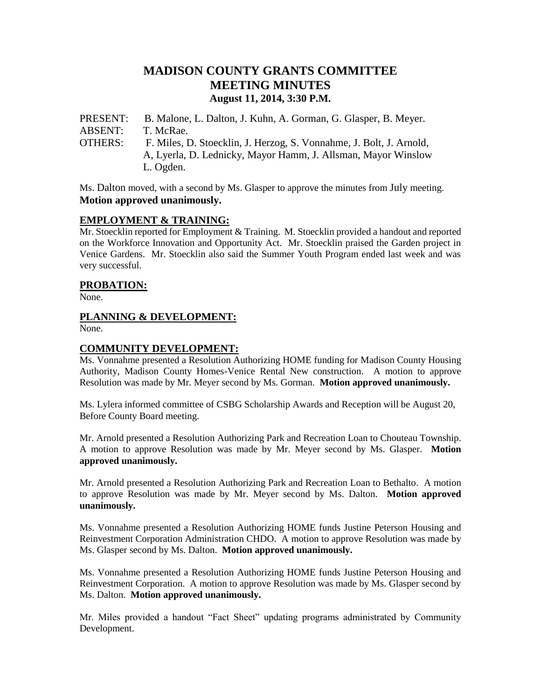# **MADISON COUNTY GRANTS COMMITTEE MEETING MINUTES August 11, 2014, 3:30 P.M.**

PRESENT: B. Malone, L. Dalton, J. Kuhn, A. Gorman, G. Glasper, B. Meyer. ABSENT: T. McRae. OTHERS: F. Miles, D. Stoecklin, J. Herzog, S. Vonnahme, J. Bolt, J. Arnold, A, Lyerla, D. Lednicky, Mayor Hamm, J. Allsman, Mayor Winslow L. Ogden.

Ms. Dalton moved, with a second by Ms. Glasper to approve the minutes from July meeting. **Motion approved unanimously.**

#### **EMPLOYMENT & TRAINING:**

Mr. Stoecklin reported for Employment & Training. M. Stoecklin provided a handout and reported on the Workforce Innovation and Opportunity Act. Mr. Stoecklin praised the Garden project in Venice Gardens. Mr. Stoecklin also said the Summer Youth Program ended last week and was very successful.

#### **PROBATION:**

None.

#### **PLANNING & DEVELOPMENT:**

None.

#### **COMMUNITY DEVELOPMENT:**

Ms. Vonnahme presented a Resolution Authorizing HOME funding for Madison County Housing Authority, Madison County Homes-Venice Rental New construction. A motion to approve Resolution was made by Mr. Meyer second by Ms. Gorman. **Motion approved unanimously.**

Ms. Lylera informed committee of CSBG Scholarship Awards and Reception will be August 20, Before County Board meeting.

Mr. Arnold presented a Resolution Authorizing Park and Recreation Loan to Chouteau Township. A motion to approve Resolution was made by Mr. Meyer second by Ms. Glasper. **Motion approved unanimously.**

Mr. Arnold presented a Resolution Authorizing Park and Recreation Loan to Bethalto. A motion to approve Resolution was made by Mr. Meyer second by Ms. Dalton. **Motion approved unanimously.**

Ms. Vonnahme presented a Resolution Authorizing HOME funds Justine Peterson Housing and Reinvestment Corporation Administration CHDO. A motion to approve Resolution was made by Ms. Glasper second by Ms. Dalton. **Motion approved unanimously.**

Ms. Vonnahme presented a Resolution Authorizing HOME funds Justine Peterson Housing and Reinvestment Corporation. A motion to approve Resolution was made by Ms. Glasper second by Ms. Dalton. **Motion approved unanimously.**

Mr. Miles provided a handout "Fact Sheet" updating programs administrated by Community Development.